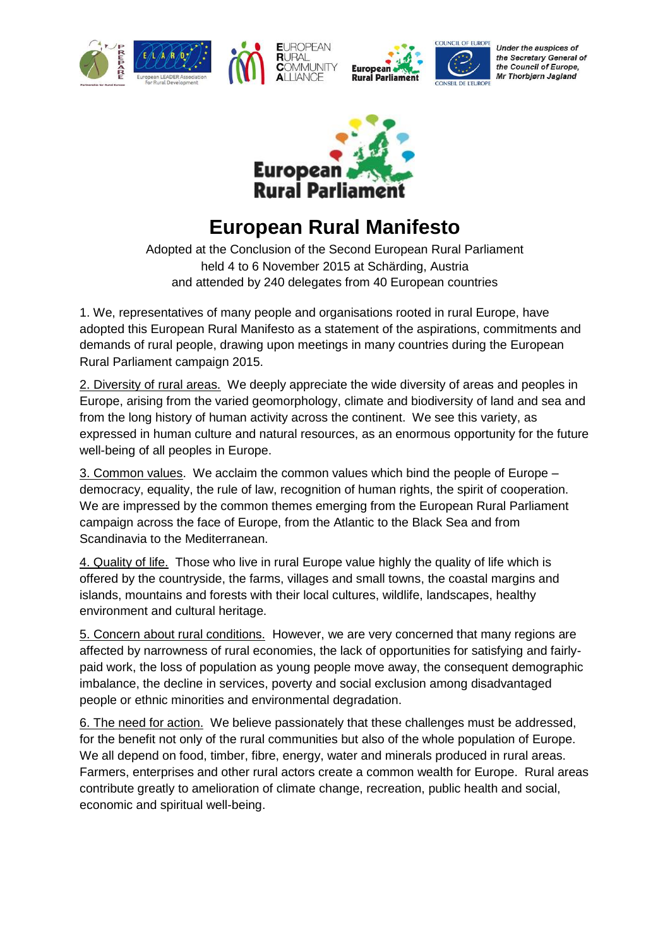





Under the auspices of the Secretary General of the Council of Europe, Mr Thorbjørn Jagland



**Europea** 

## **European Rural Manifesto**

Adopted at the Conclusion of the Second European Rural Parliament held 4 to 6 November 2015 at Schärding, Austria and attended by 240 delegates from 40 European countries

1. We, representatives of many people and organisations rooted in rural Europe, have adopted this European Rural Manifesto as a statement of the aspirations, commitments and demands of rural people, drawing upon meetings in many countries during the European Rural Parliament campaign 2015.

2. Diversity of rural areas. We deeply appreciate the wide diversity of areas and peoples in Europe, arising from the varied geomorphology, climate and biodiversity of land and sea and from the long history of human activity across the continent. We see this variety, as expressed in human culture and natural resources, as an enormous opportunity for the future well-being of all peoples in Europe.

3. Common values. We acclaim the common values which bind the people of Europe – democracy, equality, the rule of law, recognition of human rights, the spirit of cooperation. We are impressed by the common themes emerging from the European Rural Parliament campaign across the face of Europe, from the Atlantic to the Black Sea and from Scandinavia to the Mediterranean.

4. Quality of life. Those who live in rural Europe value highly the quality of life which is offered by the countryside, the farms, villages and small towns, the coastal margins and islands, mountains and forests with their local cultures, wildlife, landscapes, healthy environment and cultural heritage.

5. Concern about rural conditions. However, we are very concerned that many regions are affected by narrowness of rural economies, the lack of opportunities for satisfying and fairlypaid work, the loss of population as young people move away, the consequent demographic imbalance, the decline in services, poverty and social exclusion among disadvantaged people or ethnic minorities and environmental degradation.

6. The need for action. We believe passionately that these challenges must be addressed, for the benefit not only of the rural communities but also of the whole population of Europe. We all depend on food, timber, fibre, energy, water and minerals produced in rural areas. Farmers, enterprises and other rural actors create a common wealth for Europe. Rural areas contribute greatly to amelioration of climate change, recreation, public health and social, economic and spiritual well-being.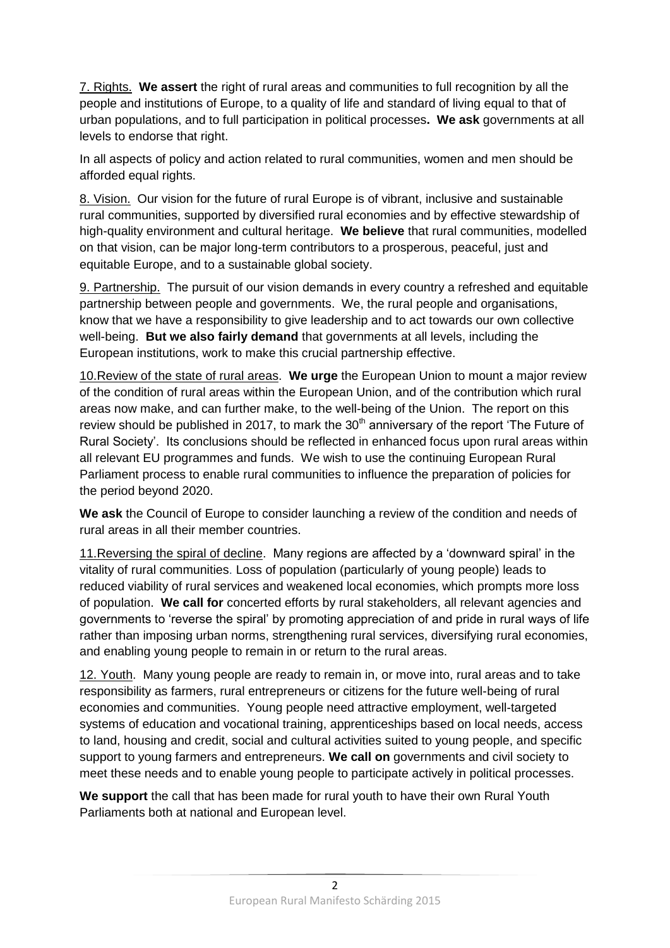7. Rights. **We assert** the right of rural areas and communities to full recognition by all the people and institutions of Europe, to a quality of life and standard of living equal to that of urban populations, and to full participation in political processes**. We ask** governments at all levels to endorse that right.

In all aspects of policy and action related to rural communities, women and men should be afforded equal rights.

8. Vision. Our vision for the future of rural Europe is of vibrant, inclusive and sustainable rural communities, supported by diversified rural economies and by effective stewardship of high-quality environment and cultural heritage. **We believe** that rural communities, modelled on that vision, can be major long-term contributors to a prosperous, peaceful, just and equitable Europe, and to a sustainable global society.

9. Partnership. The pursuit of our vision demands in every country a refreshed and equitable partnership between people and governments. We, the rural people and organisations, know that we have a responsibility to give leadership and to act towards our own collective well-being. **But we also fairly demand** that governments at all levels, including the European institutions, work to make this crucial partnership effective.

10.Review of the state of rural areas. **We urge** the European Union to mount a major review of the condition of rural areas within the European Union, and of the contribution which rural areas now make, and can further make, to the well-being of the Union. The report on this review should be published in 2017, to mark the  $30<sup>th</sup>$  anniversary of the report 'The Future of Rural Society'. Its conclusions should be reflected in enhanced focus upon rural areas within all relevant EU programmes and funds. We wish to use the continuing European Rural Parliament process to enable rural communities to influence the preparation of policies for the period beyond 2020.

**We ask** the Council of Europe to consider launching a review of the condition and needs of rural areas in all their member countries.

11.Reversing the spiral of decline. Many regions are affected by a 'downward spiral' in the vitality of rural communities. Loss of population (particularly of young people) leads to reduced viability of rural services and weakened local economies, which prompts more loss of population. **We call for** concerted efforts by rural stakeholders, all relevant agencies and governments to 'reverse the spiral' by promoting appreciation of and pride in rural ways of life rather than imposing urban norms, strengthening rural services, diversifying rural economies, and enabling young people to remain in or return to the rural areas.

12. Youth. Many young people are ready to remain in, or move into, rural areas and to take responsibility as farmers, rural entrepreneurs or citizens for the future well-being of rural economies and communities. Young people need attractive employment, well-targeted systems of education and vocational training, apprenticeships based on local needs, access to land, housing and credit, social and cultural activities suited to young people, and specific support to young farmers and entrepreneurs. **We call on** governments and civil society to meet these needs and to enable young people to participate actively in political processes.

**We support** the call that has been made for rural youth to have their own Rural Youth Parliaments both at national and European level.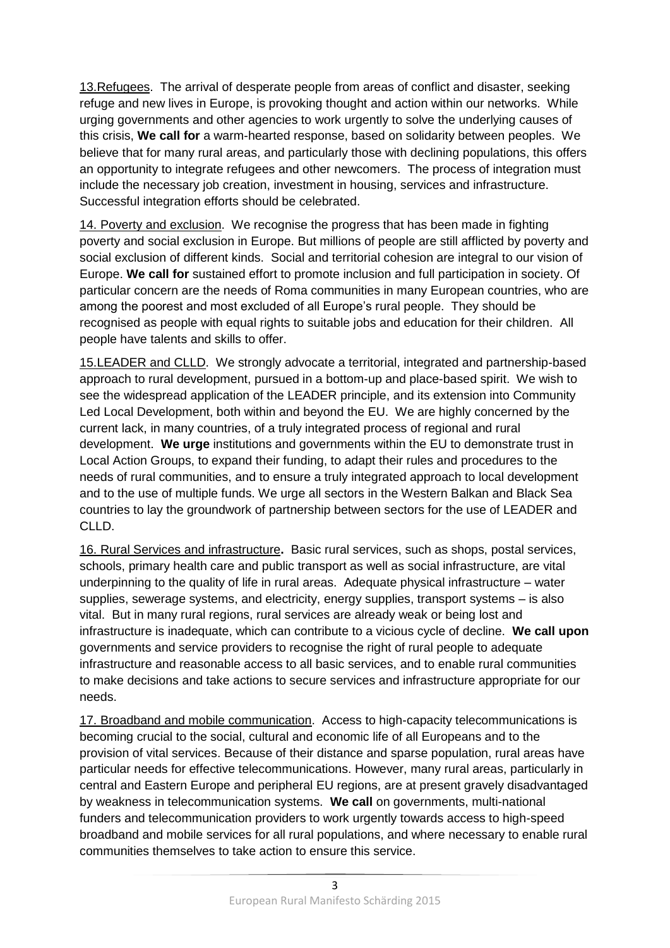13. Refugees. The arrival of desperate people from areas of conflict and disaster, seeking refuge and new lives in Europe, is provoking thought and action within our networks. While urging governments and other agencies to work urgently to solve the underlying causes of this crisis, **We call for** a warm-hearted response, based on solidarity between peoples. We believe that for many rural areas, and particularly those with declining populations, this offers an opportunity to integrate refugees and other newcomers. The process of integration must include the necessary job creation, investment in housing, services and infrastructure. Successful integration efforts should be celebrated.

14. Poverty and exclusion. We recognise the progress that has been made in fighting poverty and social exclusion in Europe. But millions of people are still afflicted by poverty and social exclusion of different kinds. Social and territorial cohesion are integral to our vision of Europe. **We call for** sustained effort to promote inclusion and full participation in society. Of particular concern are the needs of Roma communities in many European countries, who are among the poorest and most excluded of all Europe's rural people. They should be recognised as people with equal rights to suitable jobs and education for their children. All people have talents and skills to offer.

15.LEADER and CLLD. We strongly advocate a territorial, integrated and partnership-based approach to rural development, pursued in a bottom-up and place-based spirit. We wish to see the widespread application of the LEADER principle, and its extension into Community Led Local Development, both within and beyond the EU. We are highly concerned by the current lack, in many countries, of a truly integrated process of regional and rural development. **We urge** institutions and governments within the EU to demonstrate trust in Local Action Groups, to expand their funding, to adapt their rules and procedures to the needs of rural communities, and to ensure a truly integrated approach to local development and to the use of multiple funds. We urge all sectors in the Western Balkan and Black Sea countries to lay the groundwork of partnership between sectors for the use of LEADER and CLLD.

16. Rural Services and infrastructure**.** Basic rural services, such as shops, postal services, schools, primary health care and public transport as well as social infrastructure, are vital underpinning to the quality of life in rural areas. Adequate physical infrastructure – water supplies, sewerage systems, and electricity, energy supplies, transport systems – is also vital. But in many rural regions, rural services are already weak or being lost and infrastructure is inadequate, which can contribute to a vicious cycle of decline. **We call upon** governments and service providers to recognise the right of rural people to adequate infrastructure and reasonable access to all basic services, and to enable rural communities to make decisions and take actions to secure services and infrastructure appropriate for our needs.

17. Broadband and mobile communication. Access to high-capacity telecommunications is becoming crucial to the social, cultural and economic life of all Europeans and to the provision of vital services. Because of their distance and sparse population, rural areas have particular needs for effective telecommunications. However, many rural areas, particularly in central and Eastern Europe and peripheral EU regions, are at present gravely disadvantaged by weakness in telecommunication systems. **We call** on governments, multi-national funders and telecommunication providers to work urgently towards access to high-speed broadband and mobile services for all rural populations, and where necessary to enable rural communities themselves to take action to ensure this service.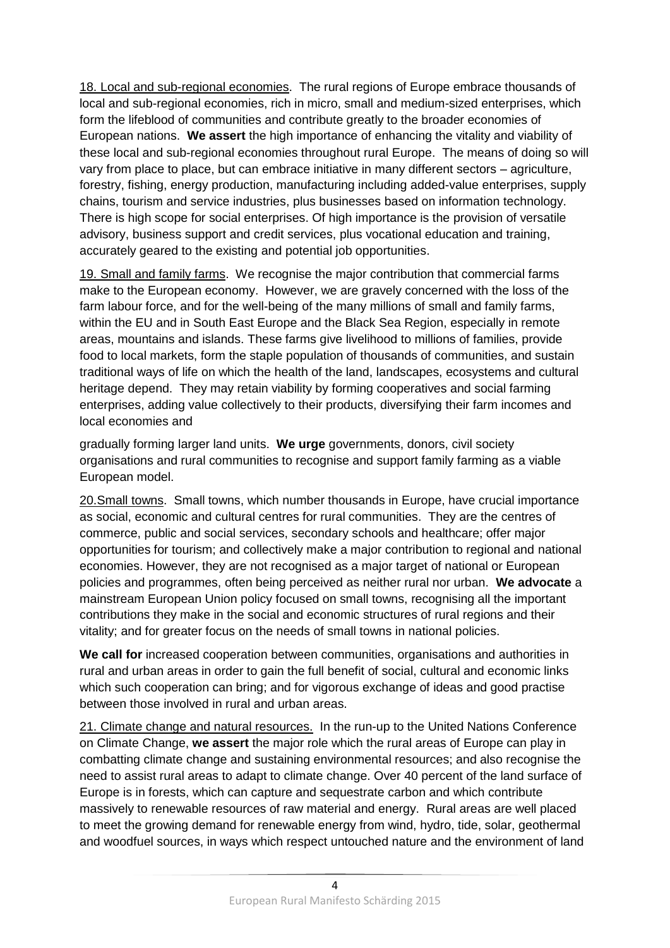18. Local and sub-regional economies. The rural regions of Europe embrace thousands of local and sub-regional economies, rich in micro, small and medium-sized enterprises, which form the lifeblood of communities and contribute greatly to the broader economies of European nations. **We assert** the high importance of enhancing the vitality and viability of these local and sub-regional economies throughout rural Europe. The means of doing so will vary from place to place, but can embrace initiative in many different sectors – agriculture, forestry, fishing, energy production, manufacturing including added-value enterprises, supply chains, tourism and service industries, plus businesses based on information technology. There is high scope for social enterprises. Of high importance is the provision of versatile advisory, business support and credit services, plus vocational education and training, accurately geared to the existing and potential job opportunities.

19. Small and family farms. We recognise the major contribution that commercial farms make to the European economy. However, we are gravely concerned with the loss of the farm labour force, and for the well-being of the many millions of small and family farms, within the EU and in South East Europe and the Black Sea Region, especially in remote areas, mountains and islands. These farms give livelihood to millions of families, provide food to local markets, form the staple population of thousands of communities, and sustain traditional ways of life on which the health of the land, landscapes, ecosystems and cultural heritage depend. They may retain viability by forming cooperatives and social farming enterprises, adding value collectively to their products, diversifying their farm incomes and local economies and

gradually forming larger land units. **We urge** governments, donors, civil society organisations and rural communities to recognise and support family farming as a viable European model.

20.Small towns. Small towns, which number thousands in Europe, have crucial importance as social, economic and cultural centres for rural communities. They are the centres of commerce, public and social services, secondary schools and healthcare; offer major opportunities for tourism; and collectively make a major contribution to regional and national economies. However, they are not recognised as a major target of national or European policies and programmes, often being perceived as neither rural nor urban. **We advocate** a mainstream European Union policy focused on small towns, recognising all the important contributions they make in the social and economic structures of rural regions and their vitality; and for greater focus on the needs of small towns in national policies.

**We call for** increased cooperation between communities, organisations and authorities in rural and urban areas in order to gain the full benefit of social, cultural and economic links which such cooperation can bring; and for vigorous exchange of ideas and good practise between those involved in rural and urban areas.

21. Climate change and natural resources. In the run-up to the United Nations Conference on Climate Change, **we assert** the major role which the rural areas of Europe can play in combatting climate change and sustaining environmental resources; and also recognise the need to assist rural areas to adapt to climate change. Over 40 percent of the land surface of Europe is in forests, which can capture and sequestrate carbon and which contribute massively to renewable resources of raw material and energy. Rural areas are well placed to meet the growing demand for renewable energy from wind, hydro, tide, solar, geothermal and woodfuel sources, in ways which respect untouched nature and the environment of land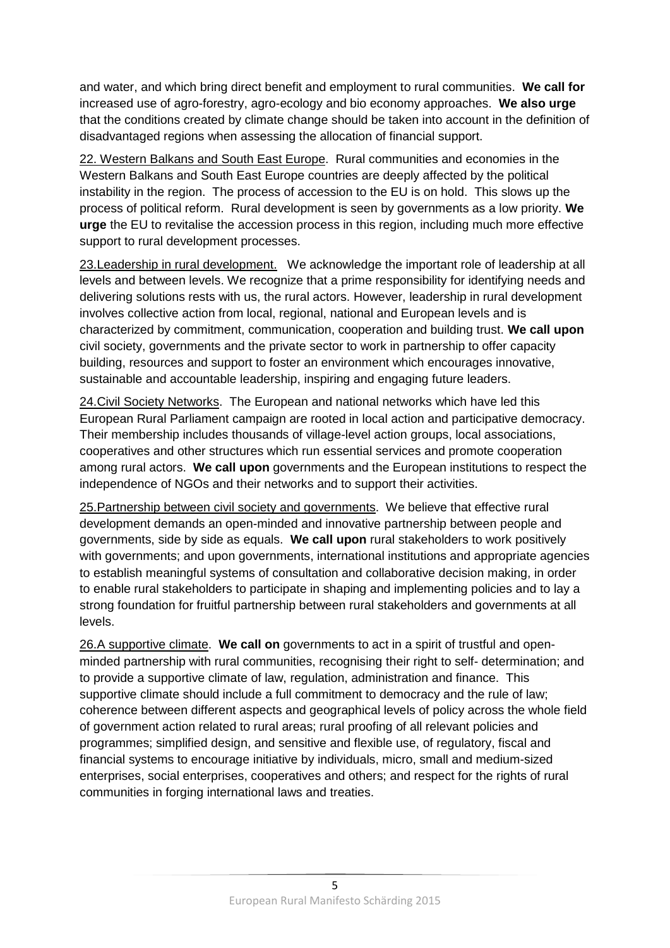and water, and which bring direct benefit and employment to rural communities. **We call for** increased use of agro-forestry, agro-ecology and bio economy approaches. **We also urge** that the conditions created by climate change should be taken into account in the definition of disadvantaged regions when assessing the allocation of financial support.

22. Western Balkans and South East Europe. Rural communities and economies in the Western Balkans and South East Europe countries are deeply affected by the political instability in the region. The process of accession to the EU is on hold. This slows up the process of political reform. Rural development is seen by governments as a low priority. **We urge** the EU to revitalise the accession process in this region, including much more effective support to rural development processes.

23.Leadership in rural development. We acknowledge the important role of leadership at all levels and between levels. We recognize that a prime responsibility for identifying needs and delivering solutions rests with us, the rural actors. However, leadership in rural development involves collective action from local, regional, national and European levels and is characterized by commitment, communication, cooperation and building trust. **We call upon** civil society, governments and the private sector to work in partnership to offer capacity building, resources and support to foster an environment which encourages innovative, sustainable and accountable leadership, inspiring and engaging future leaders.

24.Civil Society Networks. The European and national networks which have led this European Rural Parliament campaign are rooted in local action and participative democracy. Their membership includes thousands of village-level action groups, local associations, cooperatives and other structures which run essential services and promote cooperation among rural actors. **We call upon** governments and the European institutions to respect the independence of NGOs and their networks and to support their activities.

25.Partnership between civil society and governments.We believe that effective rural development demands an open-minded and innovative partnership between people and governments, side by side as equals. **We call upon** rural stakeholders to work positively with governments; and upon governments, international institutions and appropriate agencies to establish meaningful systems of consultation and collaborative decision making, in order to enable rural stakeholders to participate in shaping and implementing policies and to lay a strong foundation for fruitful partnership between rural stakeholders and governments at all levels.

26.A supportive climate. **We call on** governments to act in a spirit of trustful and openminded partnership with rural communities, recognising their right to self- determination; and to provide a supportive climate of law, regulation, administration and finance. This supportive climate should include a full commitment to democracy and the rule of law; coherence between different aspects and geographical levels of policy across the whole field of government action related to rural areas; rural proofing of all relevant policies and programmes; simplified design, and sensitive and flexible use, of regulatory, fiscal and financial systems to encourage initiative by individuals, micro, small and medium-sized enterprises, social enterprises, cooperatives and others; and respect for the rights of rural communities in forging international laws and treaties.